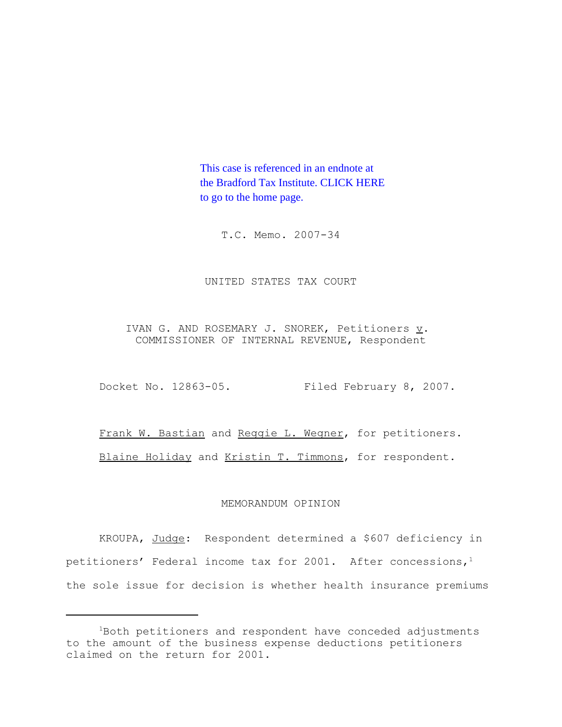This case is referenced in an endnote at [the Bradford Tax Institute. CLICK HERE](http://www.bradfordtaxinstitute.com/)  to go to the home page.

T.C. Memo. 2007-34

## UNITED STATES TAX COURT

IVAN G. AND ROSEMARY J. SNOREK, Petitioners v. COMMISSIONER OF INTERNAL REVENUE, Respondent

Docket No. 12863-05. Filed February 8, 2007.

Frank W. Bastian and Reggie L. Wegner, for petitioners. Blaine Holiday and Kristin T. Timmons, for respondent.

## MEMORANDUM OPINION

KROUPA, Judge: Respondent determined a \$607 deficiency in petitioners' Federal income tax for 2001. After concessions, $1$ the sole issue for decision is whether health insurance premiums

<sup>1</sup>Both petitioners and respondent have conceded adjustments to the amount of the business expense deductions petitioners claimed on the return for 2001.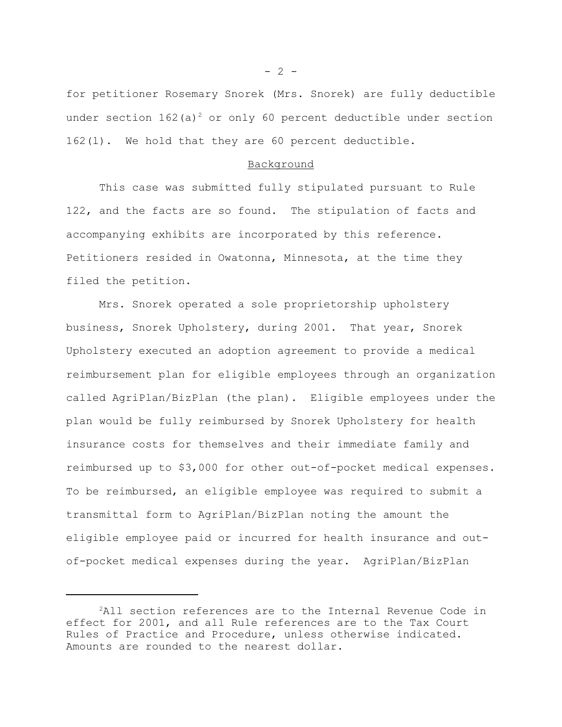for petitioner Rosemary Snorek (Mrs. Snorek) are fully deductible under section  $162(a)^2$  or only 60 percent deductible under section 162(l). We hold that they are 60 percent deductible.

## Background

This case was submitted fully stipulated pursuant to Rule 122, and the facts are so found. The stipulation of facts and accompanying exhibits are incorporated by this reference. Petitioners resided in Owatonna, Minnesota, at the time they filed the petition.

Mrs. Snorek operated a sole proprietorship upholstery business, Snorek Upholstery, during 2001. That year, Snorek Upholstery executed an adoption agreement to provide a medical reimbursement plan for eligible employees through an organization called AgriPlan/BizPlan (the plan). Eligible employees under the plan would be fully reimbursed by Snorek Upholstery for health insurance costs for themselves and their immediate family and reimbursed up to \$3,000 for other out-of-pocket medical expenses. To be reimbursed, an eligible employee was required to submit a transmittal form to AgriPlan/BizPlan noting the amount the eligible employee paid or incurred for health insurance and outof-pocket medical expenses during the year. AgriPlan/BizPlan

 $- 2 -$ 

<sup>&</sup>lt;sup>2</sup>All section references are to the Internal Revenue Code in effect for 2001, and all Rule references are to the Tax Court Rules of Practice and Procedure, unless otherwise indicated. Amounts are rounded to the nearest dollar.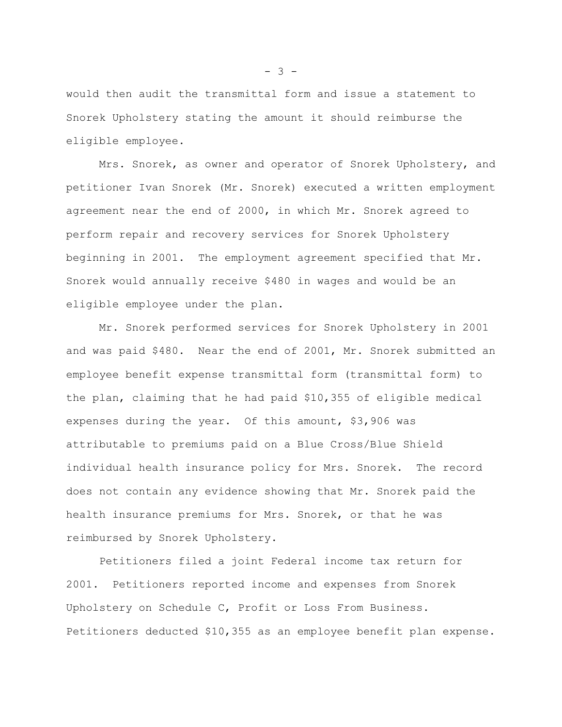would then audit the transmittal form and issue a statement to Snorek Upholstery stating the amount it should reimburse the eligible employee.

Mrs. Snorek, as owner and operator of Snorek Upholstery, and petitioner Ivan Snorek (Mr. Snorek) executed a written employment agreement near the end of 2000, in which Mr. Snorek agreed to perform repair and recovery services for Snorek Upholstery beginning in 2001. The employment agreement specified that Mr. Snorek would annually receive \$480 in wages and would be an eligible employee under the plan.

Mr. Snorek performed services for Snorek Upholstery in 2001 and was paid \$480. Near the end of 2001, Mr. Snorek submitted an employee benefit expense transmittal form (transmittal form) to the plan, claiming that he had paid \$10,355 of eligible medical expenses during the year. Of this amount, \$3,906 was attributable to premiums paid on a Blue Cross/Blue Shield individual health insurance policy for Mrs. Snorek. The record does not contain any evidence showing that Mr. Snorek paid the health insurance premiums for Mrs. Snorek, or that he was reimbursed by Snorek Upholstery.

Petitioners filed a joint Federal income tax return for 2001. Petitioners reported income and expenses from Snorek Upholstery on Schedule C, Profit or Loss From Business. Petitioners deducted \$10,355 as an employee benefit plan expense.

 $- 3 -$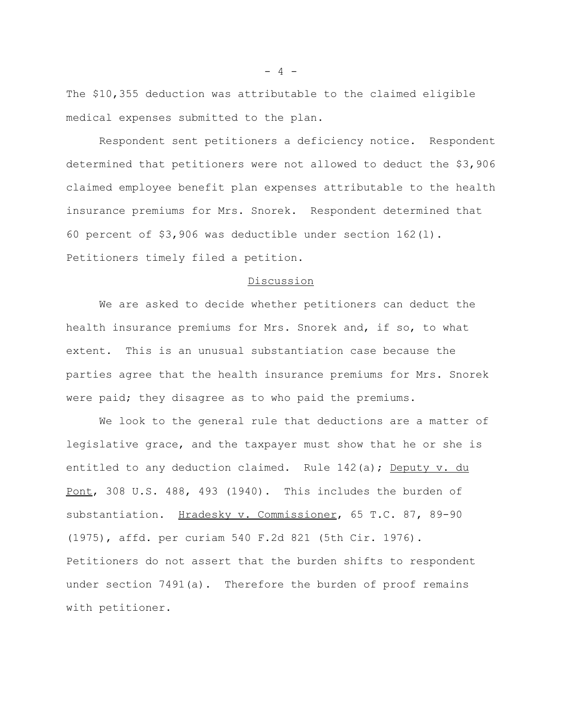The \$10,355 deduction was attributable to the claimed eligible medical expenses submitted to the plan.

 Respondent sent petitioners a deficiency notice. Respondent determined that petitioners were not allowed to deduct the \$3,906 claimed employee benefit plan expenses attributable to the health insurance premiums for Mrs. Snorek. Respondent determined that 60 percent of \$3,906 was deductible under section 162(l). Petitioners timely filed a petition.

#### Discussion

We are asked to decide whether petitioners can deduct the health insurance premiums for Mrs. Snorek and, if so, to what extent. This is an unusual substantiation case because the parties agree that the health insurance premiums for Mrs. Snorek were paid; they disagree as to who paid the premiums.

We look to the general rule that deductions are a matter of legislative grace, and the taxpayer must show that he or she is entitled to any deduction claimed. Rule 142(a); Deputy v. du Pont, 308 U.S. 488, 493 (1940). This includes the burden of substantiation. Hradesky v. Commissioner, 65 T.C. 87, 89-90 (1975), affd. per curiam 540 F.2d 821 (5th Cir. 1976). Petitioners do not assert that the burden shifts to respondent under section 7491(a). Therefore the burden of proof remains with petitioner.

 $- 4 -$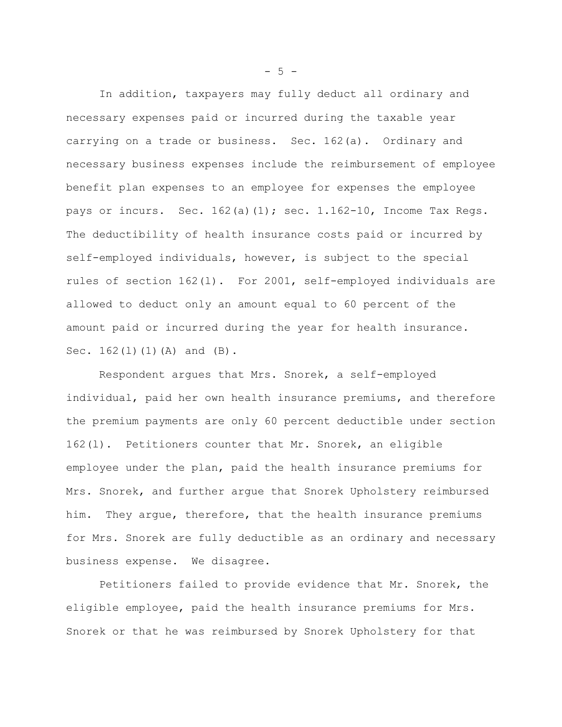In addition, taxpayers may fully deduct all ordinary and necessary expenses paid or incurred during the taxable year carrying on a trade or business. Sec. 162(a). Ordinary and necessary business expenses include the reimbursement of employee benefit plan expenses to an employee for expenses the employee pays or incurs. Sec. 162(a)(1); sec. 1.162-10, Income Tax Regs. The deductibility of health insurance costs paid or incurred by self-employed individuals, however, is subject to the special rules of section 162(l). For 2001, self-employed individuals are allowed to deduct only an amount equal to 60 percent of the amount paid or incurred during the year for health insurance. Sec. 162(1)(1)(A) and (B).

Respondent argues that Mrs. Snorek, a self-employed individual, paid her own health insurance premiums, and therefore the premium payments are only 60 percent deductible under section 162(l). Petitioners counter that Mr. Snorek, an eligible employee under the plan, paid the health insurance premiums for Mrs. Snorek, and further argue that Snorek Upholstery reimbursed him. They argue, therefore, that the health insurance premiums for Mrs. Snorek are fully deductible as an ordinary and necessary business expense. We disagree.

Petitioners failed to provide evidence that Mr. Snorek, the eligible employee, paid the health insurance premiums for Mrs. Snorek or that he was reimbursed by Snorek Upholstery for that

 $-5 -$